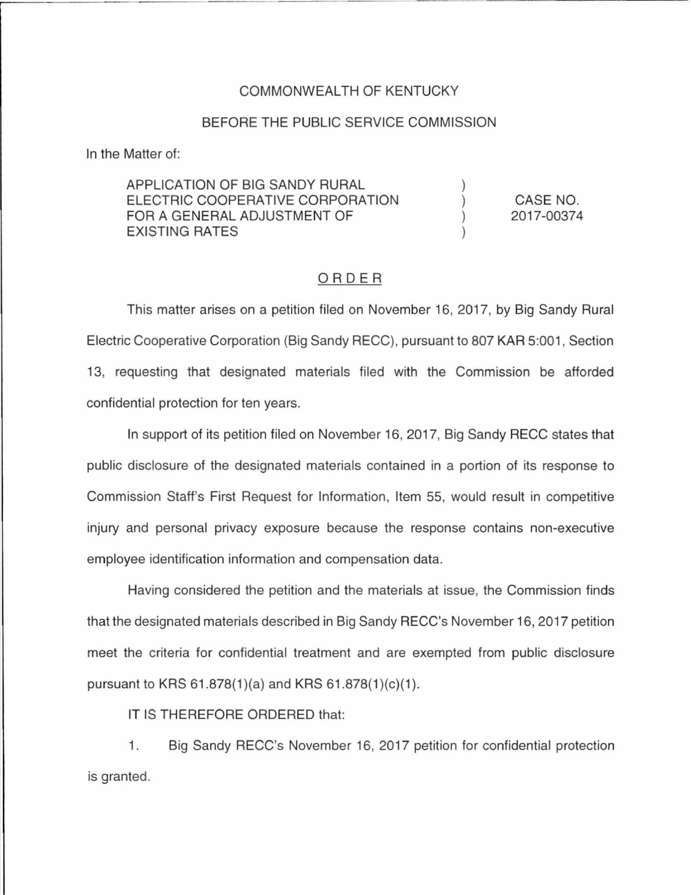## COMMONWEALTH OF KENTUCKY

## BEFORE THE PUBLIC SERVICE COMMISSION

In the Matter of:

APPLICATION OF BIG SANDY RURAL ELECTRIC COOPERATIVE CORPORATION CASE NO.  $\mathcal{C}$ FOR A GENERAL ADJUSTMENT OF 2017-00374 EXISTING RATES

## ORDER

This matter arises on a petition filed on November 16, 2017, by Big Sandy Rural Electric Cooperative Corporation (Big Sandy RECC), pursuant to 807 KAR 5:001 , Section 13, requesting that designated materials filed with the Commission be afforded confidential protection for ten years.

In support of its petition filed on November 16, 2017, Big Sandy RECC states that public disclosure of the designated materials contained in a portion of its response to Commission Staff's First Request for Information, Item 55, would result in competitive injury and personal privacy exposure because the response contains non-executive employee identification information and compensation data.

Having considered the petition and the materials at issue, the Commission finds that the designated materials described in Big Sandy RECC's November 16, 2017 petition meet the criteria for confidential treatment and are exempted from public disclosure pursuant to KRS  $61.878(1)(a)$  and KRS  $61.878(1)(c)(1)$ .

IT IS THEREFORE ORDERED that:

1. Big Sandy RECC's November 16, 2017 petition for confidential protection is granted.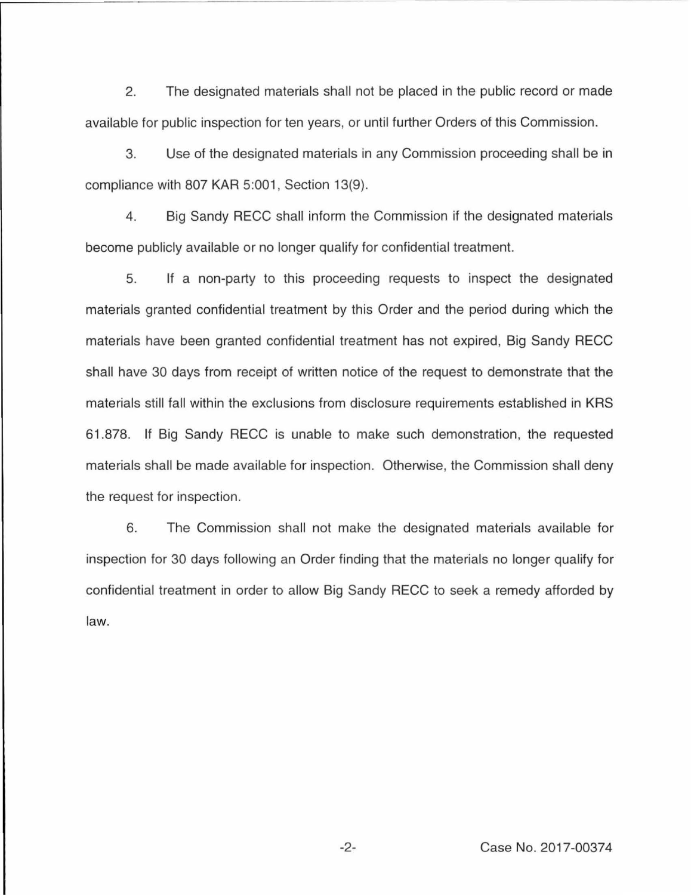2. The designated materials shall not be placed in the public record or made available for public inspection for ten years, or until further Orders of this Commission.

3. Use of the designated materials in any Commission proceeding shall be in compliance with 807 KAR 5:001, Section 13(9).

4. Big Sandy RECC shall inform the Commission if the designated materials become publicly available or no longer qualify for confidential treatment.

5. If a non-party to this proceeding requests to inspect the designated materials granted confidential treatment by this Order and the period during which the materials have been granted confidential treatment has not expired, Big Sandy RECC shall have 30 days from receipt of written notice of the request to demonstrate that the materials still fall within the exclusions from disclosure requirements established in KRS 61.878. If Big Sandy RECC is unable to make such demonstration, the requested materials shall be made available for inspection. Otherwise, the Commission shall deny the request for inspection.

6. The Commission shall not make the designated materials available for inspection for 30 days following an Order finding that the materials no longer qualify for confidential treatment in order to allow Big Sandy RECC to seek a remedy afforded by law.

-2- Case No. 2017-00374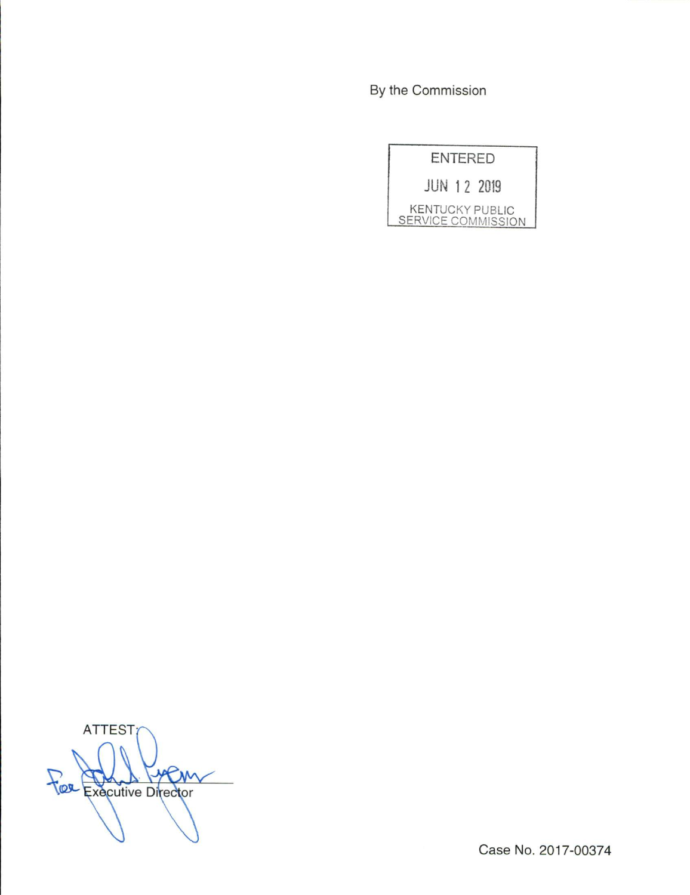By the Commission

|   | - 11 |         |               |
|---|------|---------|---------------|
|   |      |         |               |
| × |      | 1931 ST | $\sim$ $\sim$ |

JUN 1 2 2019

KENTUCKY PUBLIC SERVICE COMMISSION

ATTEST yem Fee Executive Director

Case No. 2017-00374